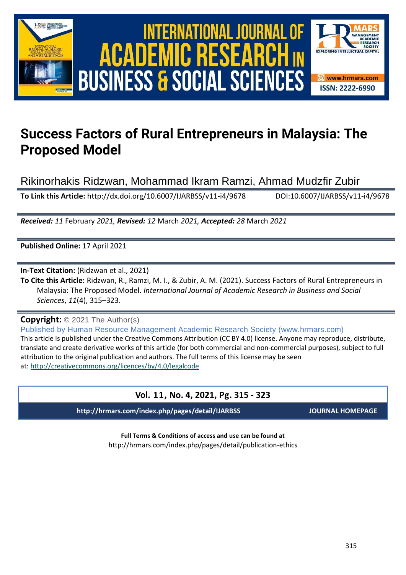



# **Success Factors of Rural Entrepreneurs in Malaysia: The Proposed Model**

Rikinorhakis Ridzwan, Mohammad Ikram Ramzi, Ahmad Mudzfir Zubir

**To Link this Article:** http://dx.doi.org/10.6007/IJARBSS/v11-i4/9678 DOI:10.6007/IJARBSS/v11-i4/9678

*Received: 11* February *2021, Revised: 12* March *2021, Accepted: 28* March *2021*

**Published Online:** 17 April 2021

**In-Text Citation:** (Ridzwan et al., 2021)

**To Cite this Article:** Ridzwan, R., Ramzi, M. I., & Zubir, A. M. (2021). Success Factors of Rural Entrepreneurs in Malaysia: The Proposed Model. *International Journal of Academic Research in Business and Social Sciences*, *11*(4), 315–323.

**Copyright:** © 2021 The Author(s)

Published by Human Resource Management Academic Research Society (www.hrmars.com) This article is published under the Creative Commons Attribution (CC BY 4.0) license. Anyone may reproduce, distribute, translate and create derivative works of this article (for both commercial and non-commercial purposes), subject to full attribution to the original publication and authors. The full terms of this license may be seen at: <http://creativecommons.org/licences/by/4.0/legalcode>

# **Vol. 11, No. 4, 2021, Pg. 315 - 323**

**http://hrmars.com/index.php/pages/detail/IJARBSS JOURNAL HOMEPAGE**

**Full Terms & Conditions of access and use can be found at** http://hrmars.com/index.php/pages/detail/publication-ethics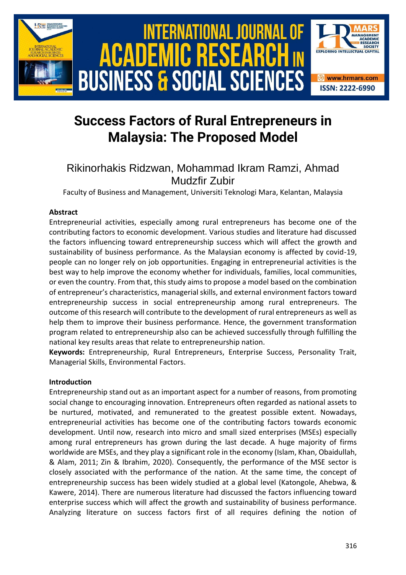

# **Success Factors of Rural Entrepreneurs in Malaysia: The Proposed Model**

# Rikinorhakis Ridzwan, Mohammad Ikram Ramzi, Ahmad Mudzfir Zubir

Faculty of Business and Management, Universiti Teknologi Mara, Kelantan, Malaysia

### **Abstract**

Entrepreneurial activities, especially among rural entrepreneurs has become one of the contributing factors to economic development. Various studies and literature had discussed the factors influencing toward entrepreneurship success which will affect the growth and sustainability of business performance. As the Malaysian economy is affected by covid-19, people can no longer rely on job opportunities. Engaging in entrepreneurial activities is the best way to help improve the economy whether for individuals, families, local communities, or even the country. From that, this study aims to propose a model based on the combination of entrepreneur's characteristics, managerial skills, and external environment factors toward entrepreneurship success in social entrepreneurship among rural entrepreneurs. The outcome of this research will contribute to the development of rural entrepreneurs as well as help them to improve their business performance. Hence, the government transformation program related to entrepreneurship also can be achieved successfully through fulfilling the national key results areas that relate to entrepreneurship nation.

**Keywords:** Entrepreneurship, Rural Entrepreneurs, Enterprise Success, Personality Trait, Managerial Skills, Environmental Factors.

### **Introduction**

Entrepreneurship stand out as an important aspect for a number of reasons, from promoting social change to encouraging innovation. Entrepreneurs often regarded as national assets to be nurtured, motivated, and remunerated to the greatest possible extent. Nowadays, entrepreneurial activities has become one of the contributing factors towards economic development. Until now, research into micro and small sized enterprises (MSEs) especially among rural entrepreneurs has grown during the last decade. A huge majority of firms worldwide are MSEs, and they play a significant role in the economy (Islam, Khan, Obaidullah, & Alam, 2011; Zin & Ibrahim, 2020). Consequently, the performance of the MSE sector is closely associated with the performance of the nation. At the same time, the concept of entrepreneurship success has been widely studied at a global level (Katongole, Ahebwa, & Kawere, 2014). There are numerous literature had discussed the factors influencing toward enterprise success which will affect the growth and sustainability of business performance. Analyzing literature on success factors first of all requires defining the notion of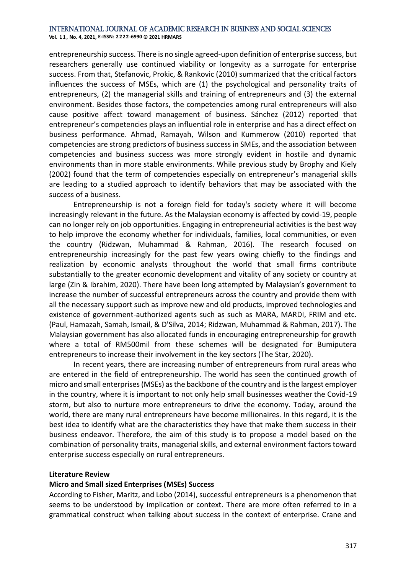**Vol. 1 1 , No. 4, 2021, E-ISSN: 2222-6990 © 2021 HRMARS**

entrepreneurship success. There is no single agreed-upon definition of enterprise success, but researchers generally use continued viability or longevity as a surrogate for enterprise success. From that, Stefanovic, Prokic, & Rankovic (2010) summarized that the critical factors influences the success of MSEs, which are (1) the psychological and personality traits of entrepreneurs, (2) the managerial skills and training of entrepreneurs and (3) the external environment. Besides those factors, the competencies among rural entrepreneurs will also cause positive affect toward management of business. Sánchez (2012) reported that entrepreneur's competencies plays an influential role in enterprise and has a direct effect on business performance. Ahmad, Ramayah, Wilson and Kummerow (2010) reported that competencies are strong predictors of business success in SMEs, and the association between competencies and business success was more strongly evident in hostile and dynamic environments than in more stable environments. While previous study by Brophy and Kiely (2002) found that the term of competencies especially on entrepreneur's managerial skills are leading to a studied approach to identify behaviors that may be associated with the success of a business.

Entrepreneurship is not a foreign field for today's society where it will become increasingly relevant in the future. As the Malaysian economy is affected by covid-19, people can no longer rely on job opportunities. Engaging in entrepreneurial activities is the best way to help improve the economy whether for individuals, families, local communities, or even the country (Ridzwan, Muhammad & Rahman, 2016). The research focused on entrepreneurship increasingly for the past few years owing chiefly to the findings and realization by economic analysts throughout the world that small firms contribute substantially to the greater economic development and vitality of any society or country at large (Zin & Ibrahim, 2020). There have been long attempted by Malaysian's government to increase the number of successful entrepreneurs across the country and provide them with all the necessary support such as improve new and old products, improved technologies and existence of government-authorized agents such as such as MARA, MARDI, FRIM and etc. (Paul, Hamazah, Samah, Ismail, & D'Silva, 2014; Ridzwan, Muhammad & Rahman, 2017). The Malaysian government has also allocated funds in encouraging entrepreneurship for growth where a total of RM500mil from these schemes will be designated for Bumiputera entrepreneurs to increase their involvement in the key sectors (The Star, 2020).

In recent years, there are increasing number of entrepreneurs from rural areas who are entered in the field of entrepreneurship. The world has seen the continued growth of micro and small enterprises (MSEs) as the backbone of the country and is the largest employer in the country, where it is important to not only help small businesses weather the Covid-19 storm, but also to nurture more entrepreneurs to drive the economy. Today, around the world, there are many rural entrepreneurs have become millionaires. In this regard, it is the best idea to identify what are the characteristics they have that make them success in their business endeavor. Therefore, the aim of this study is to propose a model based on the combination of personality traits, managerial skills, and external environment factors toward enterprise success especially on rural entrepreneurs.

#### **Literature Review**

#### **Micro and Small sized Enterprises (MSEs) Success**

According to Fisher, Maritz, and Lobo (2014), successful entrepreneurs is a phenomenon that seems to be understood by implication or context. There are more often referred to in a grammatical construct when talking about success in the context of enterprise. Crane and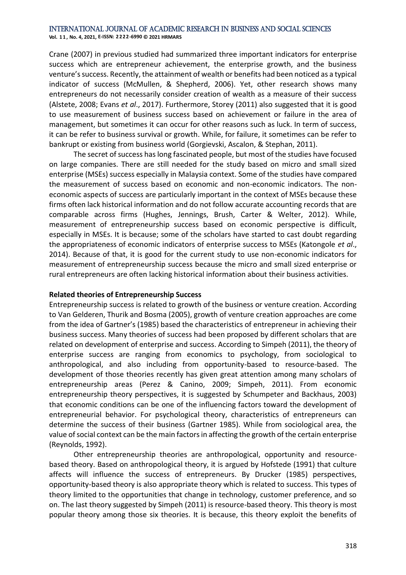**Vol. 1 1 , No. 4, 2021, E-ISSN: 2222-6990 © 2021 HRMARS**

Crane (2007) in previous studied had summarized three important indicators for enterprise success which are entrepreneur achievement, the enterprise growth, and the business venture's success. Recently, the attainment of wealth or benefits had been noticed as a typical indicator of success (McMullen, & Shepherd, 2006). Yet, other research shows many entrepreneurs do not necessarily consider creation of wealth as a measure of their success (Alstete, 2008; Evans *et al*., 2017). Furthermore, Storey (2011) also suggested that it is good to use measurement of business success based on achievement or failure in the area of management, but sometimes it can occur for other reasons such as luck. In term of success, it can be refer to business survival or growth. While, for failure, it sometimes can be refer to bankrupt or existing from business world (Gorgievski, Ascalon, & Stephan, 2011).

The secret of success has long fascinated people, but most of the studies have focused on large companies. There are still needed for the study based on micro and small sized enterprise (MSEs) success especially in Malaysia context. Some of the studies have compared the measurement of success based on economic and non-economic indicators. The noneconomic aspects of success are particularly important in the context of MSEs because these firms often lack historical information and do not follow accurate accounting records that are comparable across firms (Hughes, Jennings, Brush, Carter & Welter, 2012). While, measurement of entrepreneurship success based on economic perspective is difficult, especially in MSEs. It is because; some of the scholars have started to cast doubt regarding the appropriateness of economic indicators of enterprise success to MSEs (Katongole *et al*., 2014). Because of that, it is good for the current study to use non-economic indicators for measurement of entrepreneurship success because the micro and small sized enterprise or rural entrepreneurs are often lacking historical information about their business activities.

#### **Related theories of Entrepreneurship Success**

Entrepreneurship success is related to growth of the business or venture creation. According to Van Gelderen, Thurik and Bosma (2005), growth of venture creation approaches are come from the idea of Gartner's (1985) based the characteristics of entrepreneur in achieving their business success. Many theories of success had been proposed by different scholars that are related on development of enterprise and success. According to Simpeh (2011), the theory of enterprise success are ranging from economics to psychology, from sociological to anthropological, and also including from opportunity-based to resource-based. The development of those theories recently has given great attention among many scholars of entrepreneurship areas (Perez & Canino, 2009; Simpeh, 2011). From economic entrepreneurship theory perspectives, it is suggested by Schumpeter and Backhaus, 2003) that economic conditions can be one of the influencing factors toward the development of entrepreneurial behavior. For psychological theory, characteristics of entrepreneurs can determine the success of their business (Gartner 1985). While from sociological area, the value of social context can be the main factors in affecting the growth of the certain enterprise (Reynolds, 1992).

Other entrepreneurship theories are anthropological, opportunity and resourcebased theory. Based on anthropological theory, it is argued by Hofstede (1991) that culture affects will influence the success of entrepreneurs. By Drucker (1985) perspectives, opportunity-based theory is also appropriate theory which is related to success. This types of theory limited to the opportunities that change in technology, customer preference, and so on. The last theory suggested by Simpeh (2011) is resource-based theory. This theory is most popular theory among those six theories. It is because, this theory exploit the benefits of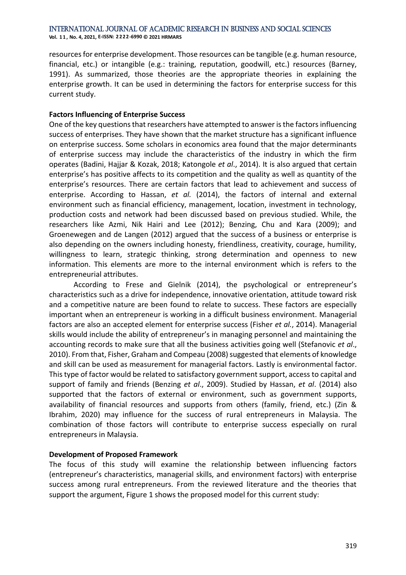**Vol. 1 1 , No. 4, 2021, E-ISSN: 2222-6990 © 2021 HRMARS**

resources for enterprise development. Those resources can be tangible (e.g. human resource, financial, etc.) or intangible (e.g.: training, reputation, goodwill, etc.) resources (Barney, 1991). As summarized, those theories are the appropriate theories in explaining the enterprise growth. It can be used in determining the factors for enterprise success for this current study.

#### **Factors Influencing of Enterprise Success**

One of the key questions that researchers have attempted to answer is the factors influencing success of enterprises. They have shown that the market structure has a significant influence on enterprise success. Some scholars in economics area found that the major determinants of enterprise success may include the characteristics of the industry in which the firm operates (Badini, Hajjar & Kozak, 2018; Katongole *et al*., 2014). It is also argued that certain enterprise's has positive affects to its competition and the quality as well as quantity of the enterprise's resources. There are certain factors that lead to achievement and success of enterprise. According to Hassan, *et al.* (2014), the factors of internal and external environment such as financial efficiency, management, location, investment in technology, production costs and network had been discussed based on previous studied. While, the researchers like Azmi, Nik Hairi and Lee (2012); Benzing, Chu and Kara (2009); and Groenewegen and de Langen (2012) argued that the success of a business or enterprise is also depending on the owners including honesty, friendliness, creativity, courage, humility, willingness to learn, strategic thinking, strong determination and openness to new information. This elements are more to the internal environment which is refers to the entrepreneurial attributes.

According to Frese and Gielnik (2014), the psychological or entrepreneur's characteristics such as a drive for independence, innovative orientation, attitude toward risk and a competitive nature are been found to relate to success. These factors are especially important when an entrepreneur is working in a difficult business environment. Managerial factors are also an accepted element for enterprise success (Fisher *et al.*, 2014). Managerial skills would include the ability of entrepreneur's in managing personnel and maintaining the accounting records to make sure that all the business activities going well (Stefanovic *et al*., 2010). From that, Fisher, Graham and Compeau (2008) suggested that elements of knowledge and skill can be used as measurement for managerial factors. Lastly is environmental factor. This type of factor would be related to satisfactory government support, access to capital and support of family and friends (Benzing *et al*., 2009). Studied by Hassan, *et al*. (2014) also supported that the factors of external or environment, such as government supports, availability of financial resources and supports from others (family, friend, etc.) (Zin & Ibrahim, 2020) may influence for the success of rural entrepreneurs in Malaysia. The combination of those factors will contribute to enterprise success especially on rural entrepreneurs in Malaysia.

#### **Development of Proposed Framework**

The focus of this study will examine the relationship between influencing factors (entrepreneur's characteristics, managerial skills, and environment factors) with enterprise success among rural entrepreneurs. From the reviewed literature and the theories that support the argument, Figure 1 shows the proposed model for this current study: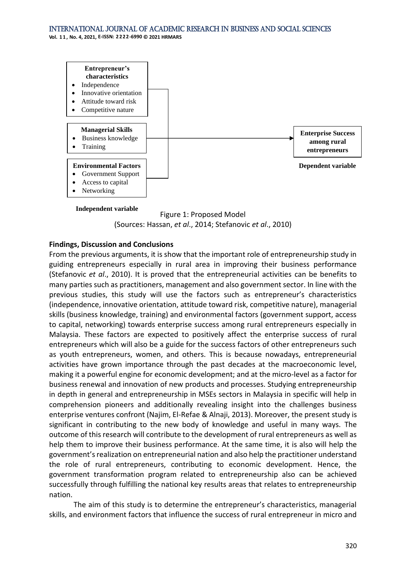**Vol. 1 1 , No. 4, 2021, E-ISSN: 2222-6990 © 2021 HRMARS**





#### **Findings, Discussion and Conclusions**

From the previous arguments, it is show that the important role of entrepreneurship study in guiding entrepreneurs especially in rural area in improving their business performance (Stefanovic *et al*., 2010). It is proved that the entrepreneurial activities can be benefits to many parties such as practitioners, management and also government sector. In line with the previous studies, this study will use the factors such as entrepreneur's characteristics (independence, innovative orientation, attitude toward risk, competitive nature), managerial skills (business knowledge, training) and environmental factors (government support, access to capital, networking) towards enterprise success among rural entrepreneurs especially in Malaysia. These factors are expected to positively affect the enterprise success of rural entrepreneurs which will also be a guide for the success factors of other entrepreneurs such as youth entrepreneurs, women, and others. This is because nowadays, entrepreneurial activities have grown importance through the past decades at the macroeconomic level, making it a powerful engine for economic development; and at the micro-level as a factor for business renewal and innovation of new products and processes. Studying entrepreneurship in depth in general and entrepreneurship in MSEs sectors in Malaysia in specific will help in comprehension pioneers and additionally revealing insight into the challenges business enterprise ventures confront (Najim, El-Refae & Alnaji, 2013). Moreover, the present study is significant in contributing to the new body of knowledge and useful in many ways. The outcome of this research will contribute to the development of rural entrepreneurs as well as help them to improve their business performance. At the same time, it is also will help the government's realization on entrepreneurial nation and also help the practitioner understand the role of rural entrepreneurs, contributing to economic development. Hence, the government transformation program related to entrepreneurship also can be achieved successfully through fulfilling the national key results areas that relates to entrepreneurship nation.

The aim of this study is to determine the entrepreneur's characteristics, managerial skills, and environment factors that influence the success of rural entrepreneur in micro and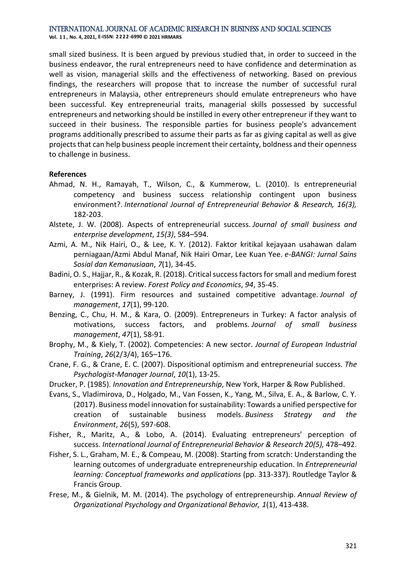**Vol. 1 1 , No. 4, 2021, E-ISSN: 2222-6990 © 2021 HRMARS**

small sized business. It is been argued by previous studied that, in order to succeed in the business endeavor, the rural entrepreneurs need to have confidence and determination as well as vision, managerial skills and the effectiveness of networking. Based on previous findings, the researchers will propose that to increase the number of successful rural entrepreneurs in Malaysia, other entrepreneurs should emulate entrepreneurs who have been successful. Key entrepreneurial traits, managerial skills possessed by successful entrepreneurs and networking should be instilled in every other entrepreneur if they want to succeed in their business. The responsible parties for business people's advancement programs additionally prescribed to assume their parts as far as giving capital as well as give projects that can help business people increment their certainty, boldness and their openness to challenge in business.

#### **References**

- Ahmad, N. H., Ramayah, T., Wilson, C., & Kummerow, L. (2010). Is entrepreneurial competency and business success relationship contingent upon business environment?. *International Journal of Entrepreneurial Behavior & Research, 16(3),*  182-203.
- Alstete, J. W. (2008). Aspects of entrepreneurial success. *Journal of small business and enterprise development*, *15(3)*, 584–594.
- Azmi, A. M., Nik Hairi, O., & Lee, K. Y. (2012). Faktor kritikal kejayaan usahawan dalam perniagaan/Azmi Abdul Manaf, Nik Hairi Omar, Lee Kuan Yee. *e-BANGI: Jurnal Sains Sosial dan Kemanusiaan*, *7*(1), 34-45.
- Badini, O. S., Hajjar, R., & Kozak, R. (2018). Critical success factors for small and medium forest enterprises: A review. *Forest Policy and Economics*, *94*, 35-45.
- Barney, J. (1991). Firm resources and sustained competitive advantage. *Journal of management*, *17*(1), 99-120.
- Benzing, C., Chu, H. M., & Kara, O. (2009). Entrepreneurs in Turkey: A factor analysis of motivations, success factors, and problems. *Journal of small business management*, *47*(1), 58-91.
- Brophy, M., & Kiely, T. (2002). Competencies: A new sector. *Journal of European Industrial Training*, *26*(2/3/4), 165–176.
- Crane, F. G., & Crane, E. C. (2007). Dispositional optimism and entrepreneurial success. *The Psychologist-Manager Journal*, *10*(1), 13-25.
- Drucker, P. (1985). *Innovation and Entrepreneurship*, New York, Harper & Row Published.
- Evans, S., Vladimirova, D., Holgado, M., Van Fossen, K., Yang, M., Silva, E. A., & Barlow, C. Y. (2017). Business model innovation for sustainability: Towards a unified perspective for creation of sustainable business models. *Business Strategy and the Environment*, *26*(5), 597-608.
- Fisher, R., Maritz, A., & Lobo, A. (2014). Evaluating entrepreneurs' perception of success. *International Journal of Entrepreneurial Behavior & Research 20(5),* 478–492.
- Fisher, S. L., Graham, M. E., & Compeau, M. (2008). Starting from scratch: Understanding the learning outcomes of undergraduate entrepreneurship education. In *Entrepreneurial learning: Conceptual frameworks and applications* (pp. 313-337). Routledge Taylor & Francis Group.
- Frese, M., & Gielnik, M. M. (2014). The psychology of entrepreneurship. *Annual Review of Organizational Psychology and Organizational Behavior, 1*(1), 413-438.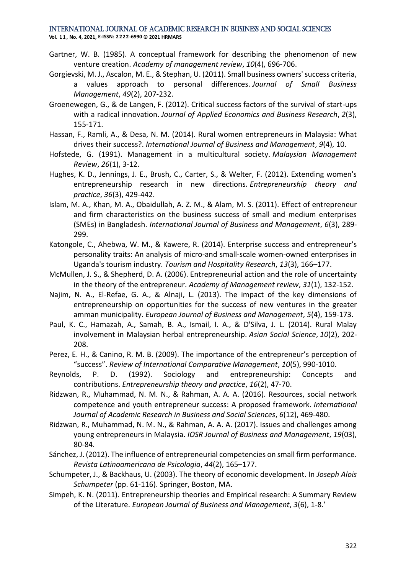**Vol. 1 1 , No. 4, 2021, E-ISSN: 2222-6990 © 2021 HRMARS**

- Gartner, W. B. (1985). A conceptual framework for describing the phenomenon of new venture creation. *Academy of management review*, *10*(4), 696-706.
- Gorgievski, M. J., Ascalon, M. E., & Stephan, U. (2011). Small business owners' success criteria, a values approach to personal differences. *Journal of Small Business Management*, *49*(2), 207-232.
- Groenewegen, G., & de Langen, F. (2012). Critical success factors of the survival of start-ups with a radical innovation. *Journal of Applied Economics and Business Research*, *2*(3), 155-171.
- Hassan, F., Ramli, A., & Desa, N. M. (2014). Rural women entrepreneurs in Malaysia: What drives their success?. *International Journal of Business and Management*, *9*(4), 10.
- Hofstede, G. (1991). Management in a multicultural society. *Malaysian Management Review*, *26*(1), 3-12.
- Hughes, K. D., Jennings, J. E., Brush, C., Carter, S., & Welter, F. (2012). Extending women's entrepreneurship research in new directions. *Entrepreneurship theory and practice*, *36*(3), 429-442.
- Islam, M. A., Khan, M. A., Obaidullah, A. Z. M., & Alam, M. S. (2011). Effect of entrepreneur and firm characteristics on the business success of small and medium enterprises (SMEs) in Bangladesh. *International Journal of Business and Management*, *6*(3), 289- 299.
- Katongole, C., Ahebwa, W. M., & Kawere, R. (2014). Enterprise success and entrepreneur's personality traits: An analysis of micro-and small-scale women-owned enterprises in Uganda's tourism industry. *Tourism and Hospitality Research*, *13*(3), 166–177.
- McMullen, J. S., & Shepherd, D. A. (2006). Entrepreneurial action and the role of uncertainty in the theory of the entrepreneur. *Academy of Management review*, *31*(1), 132-152.
- Najim, N. A., El-Refae, G. A., & Alnaji, L. (2013). The impact of the key dimensions of entrepreneurship on opportunities for the success of new ventures in the greater amman municipality. *European Journal of Business and Management*, *5*(4), 159-173.
- Paul, K. C., Hamazah, A., Samah, B. A., Ismail, I. A., & D'Silva, J. L. (2014). Rural Malay involvement in Malaysian herbal entrepreneurship. *Asian Social Science*, *10*(2), 202- 208.
- Perez, E. H., & Canino, R. M. B. (2009). The importance of the entrepreneur's perception of "success". *Review of International Comparative Management*, *10*(5), 990-1010.
- Reynolds, P. D. (1992). Sociology and entrepreneurship: Concepts and contributions. *Entrepreneurship theory and practice*, *16*(2), 47-70.
- Ridzwan, R., Muhammad, N. M. N., & Rahman, A. A. A. (2016). Resources, social network competence and youth entrepreneur success: A proposed framework. *International Journal of Academic Research in Business and Social Sciences*, *6*(12), 469-480.
- Ridzwan, R., Muhammad, N. M. N., & Rahman, A. A. A. (2017). Issues and challenges among young entrepreneurs in Malaysia. *IOSR Journal of Business and Management*, *19*(03), 80-84.
- Sánchez, J. (2012). The influence of entrepreneurial competencies on small firm performance. *Revista Latinoamericana de Psicologia*, *44*(2), 165–177.
- Schumpeter, J., & Backhaus, U. (2003). The theory of economic development. In *Joseph Alois Schumpeter* (pp. 61-116). Springer, Boston, MA.
- Simpeh, K. N. (2011). Entrepreneurship theories and Empirical research: A Summary Review of the Literature. *European Journal of Business and Management*, *3*(6), 1-8.'